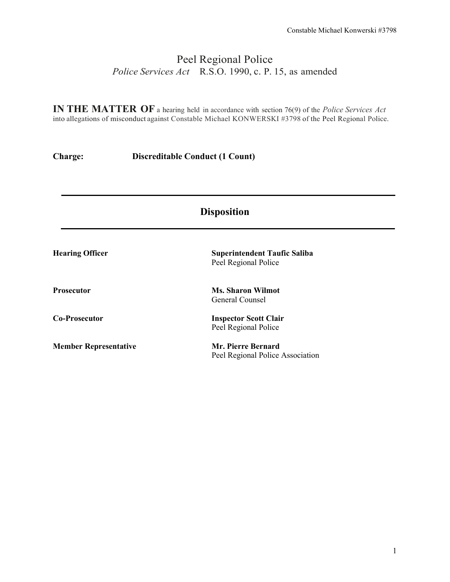# Peel Regional Police *Police Services Act* R.S.O. 1990, c. P. 15, as amended

**IN THE MATTER OF** a hearing held in accordance with section 76(9) of the *Police Services Act* into allegations of misconduct against Constable Michael KONWERSKI #3798 of the Peel Regional Police.

**Charge: Discreditable Conduct (1 Count)**

| <b>Disposition</b>           |                                                               |  |
|------------------------------|---------------------------------------------------------------|--|
| <b>Hearing Officer</b>       | <b>Superintendent Taufic Saliba</b><br>Peel Regional Police   |  |
| <b>Prosecutor</b>            | <b>Ms. Sharon Wilmot</b><br>General Counsel                   |  |
| <b>Co-Prosecutor</b>         | <b>Inspector Scott Clair</b><br>Peel Regional Police          |  |
| <b>Member Representative</b> | <b>Mr. Pierre Bernard</b><br>Peel Regional Police Association |  |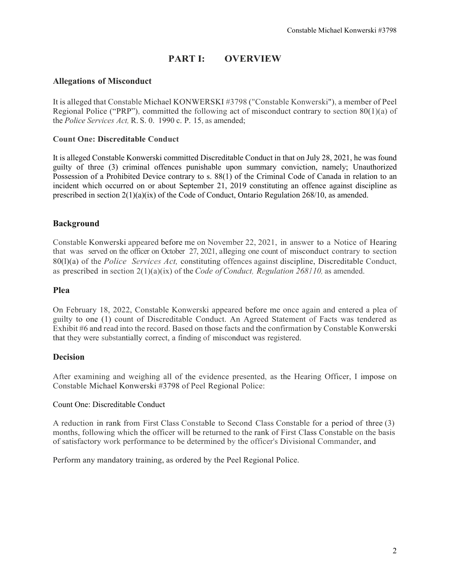## **PART I: OVERVIEW**

## **Allegations of Misconduct**

It is alleged that Constable Michael KONWERSKI #3798 ("Constable Konwerski"), a member of Peel Regional Police ("PRP"), committed the following act of misconduct contrary to section 80(1)(a) of the *Police Services Act,* R. S. 0. 1990 c. P. 15, as amended;

#### **Count One: Discreditable Conduct**

It is alleged Constable Konwerski committed Discreditable Conduct in that on July 28, 2021, he was found guilty of three (3) criminal offences punishable upon summary conviction, namely; Unauthorized Possession of a Prohibited Device contrary to s. 88(1) of the Criminal Code of Canada in relation to an incident which occurred on or about September 21, 2019 constituting an offence against discipline as prescribed in section  $2(1)(a)(ix)$  of the Code of Conduct, Ontario Regulation 268/10, as amended.

## **Background**

, Constable Konwerski appeared before me on November 22, 2021, in answer to a Notice of Hearing that was served on the officer on October 27, 2021, alleging one count of misconduct contrary to section 80(l)(a) of the *Police Services Act,* constituting offences against discipline, Discreditable Conduct, as prescribed in section 2(1)(a)(ix) of the *Code of Conduct, Regulation 268110,* as amended.

#### **Plea**

On February 18, 2022, Constable Konwerski appeared before me once again and entered a plea of guilty to one (1) count of Discreditable Conduct. An Agreed Statement of Facts was tendered as Exhibit #6 and read into the record. Based on those facts and the confirmation by Constable Konwerski that they were substantially correct, a finding of misconduct was registered.

## **Decision**

After examining and weighing all of the evidence presented, as the Hearing Officer, I impose on Constable Michael Konwerski #3798 of Peel Regional Police:

#### Count One: Discreditable Conduct

A reduction in rank from First Class Constable to Second Class Constable for a period of three (3) months, following which the officer will be returned to the rank of First Class Constable on the basis of satisfactory work performance to be determined by the officer's Divisional Commander, and

Perform any mandatory training, as ordered by the Peel Regional Police.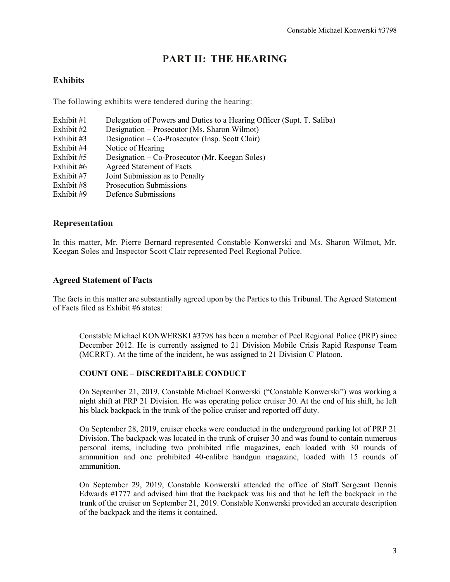# **PART II: THE HEARING**

## **Exhibits**

The following exhibits were tendered during the hearing:

Exhibit #1 Delegation of Powers and Duties to a Hearing Officer (Supt. T. Saliba) Exhibit #2 Designation – Prosecutor (Ms. Sharon Wilmot)<br>Exhibit #3 Designation – Co-Prosecutor (Insp. Scott Clair) Designation – Co-Prosecutor (Insp. Scott Clair) Exhibit #4 Notice of Hearing Exhibit #5 Designation – Co-Prosecutor (Mr. Keegan Soles) Exhibit #6 Agreed Statement of Facts Exhibit #7 Joint Submission as to Penalty Exhibit #8 Prosecution Submissions Exhibit #9 Defence Submissions

## **Representation**

In this matter, Mr. Pierre Bernard represented Constable Konwerski and Ms. Sharon Wilmot, Mr. Keegan Soles and Inspector Scott Clair represented Peel Regional Police.

#### **Agreed Statement of Facts**

The facts in this matter are substantially agreed upon by the Parties to this Tribunal. The Agreed Statement of Facts filed as Exhibit #6 states:

Constable Michael KONWERSKI #3798 has been a member of Peel Regional Police (PRP) since December 2012. He is currently assigned to 21 Division Mobile Crisis Rapid Response Team (MCRRT). At the time of the incident, he was assigned to 21 Division C Platoon.

#### **COUNT ONE – DISCREDITABLE CONDUCT**

On September 21, 2019, Constable Michael Konwerski ("Constable Konwerski") was working a night shift at PRP 21 Division. He was operating police cruiser 30. At the end of his shift, he left his black backpack in the trunk of the police cruiser and reported off duty.

On September 28, 2019, cruiser checks were conducted in the underground parking lot of PRP 21 Division. The backpack was located in the trunk of cruiser 30 and was found to contain numerous personal items, including two prohibited rifle magazines, each loaded with 30 rounds of ammunition and one prohibited 40-calibre handgun magazine, loaded with 15 rounds of ammunition.

On September 29, 2019, Constable Konwerski attended the office of Staff Sergeant Dennis Edwards #1777 and advised him that the backpack was his and that he left the backpack in the trunk of the cruiser on September 21, 2019. Constable Konwerski provided an accurate description of the backpack and the items it contained.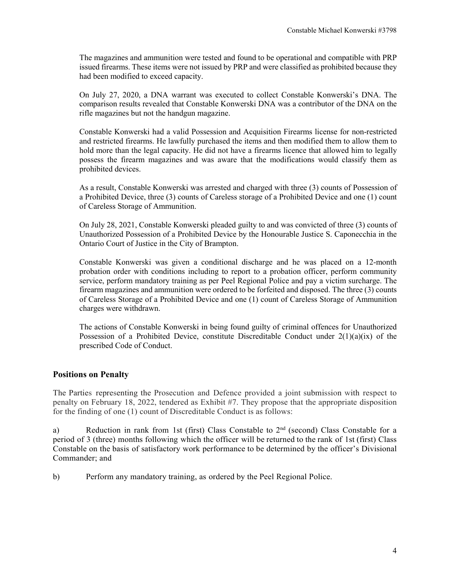The magazines and ammunition were tested and found to be operational and compatible with PRP issued firearms. These items were not issued by PRP and were classified as prohibited because they had been modified to exceed capacity.

On July 27, 2020, a DNA warrant was executed to collect Constable Konwerski's DNA. The comparison results revealed that Constable Konwerski DNA was a contributor of the DNA on the rifle magazines but not the handgun magazine.

Constable Konwerski had a valid Possession and Acquisition Firearms license for non-restricted and restricted firearms. He lawfully purchased the items and then modified them to allow them to hold more than the legal capacity. He did not have a firearms licence that allowed him to legally possess the firearm magazines and was aware that the modifications would classify them as prohibited devices.

As a result, Constable Konwerski was arrested and charged with three (3) counts of Possession of a Prohibited Device, three (3) counts of Careless storage of a Prohibited Device and one (1) count of Careless Storage of Ammunition.

On July 28, 2021, Constable Konwerski pleaded guilty to and was convicted of three (3) counts of Unauthorized Possession of a Prohibited Device by the Honourable Justice S. Caponecchia in the Ontario Court of Justice in the City of Brampton.

Constable Konwerski was given a conditional discharge and he was placed on a 12-month probation order with conditions including to report to a probation officer, perform community service, perform mandatory training as per Peel Regional Police and pay a victim surcharge. The firearm magazines and ammunition were ordered to be forfeited and disposed. The three (3) counts of Careless Storage of a Prohibited Device and one (1) count of Careless Storage of Ammunition charges were withdrawn.

The actions of Constable Konwerski in being found guilty of criminal offences for Unauthorized Possession of a Prohibited Device, constitute Discreditable Conduct under  $2(1)(a)(ix)$  of the prescribed Code of Conduct.

## **Positions on Penalty**

The Parties representing the Prosecution and Defence provided a joint submission with respect to penalty on February 18, 2022, tendered as Exhibit #7. They propose that the appropriate disposition for the finding of one (1) count of Discreditable Conduct is as follows:

a) Reduction in rank from 1st (first) Class Constable to  $2<sup>nd</sup>$  (second) Class Constable for a period of 3 (three) months following which the officer will be returned to the rank of 1st (first) Class Constable on the basis of satisfactory work performance to be determined by the officer's Divisional Commander; and

b) Perform any mandatory training, as ordered by the Peel Regional Police.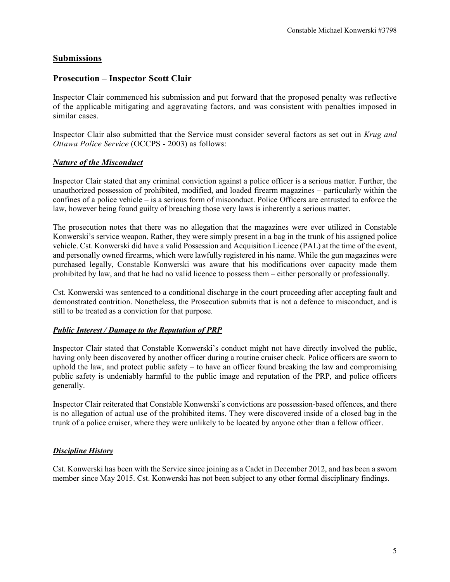## **Submissions**

## **Prosecution – Inspector Scott Clair**

Inspector Clair commenced his submission and put forward that the proposed penalty was reflective of the applicable mitigating and aggravating factors, and was consistent with penalties imposed in similar cases.

Inspector Clair also submitted that the Service must consider several factors as set out in *Krug and Ottawa Police Service* (OCCPS - 2003) as follows:

#### *Nature of the Misconduct*

Inspector Clair stated that any criminal conviction against a police officer is a serious matter. Further, the unauthorized possession of prohibited, modified, and loaded firearm magazines – particularly within the confines of a police vehicle – is a serious form of misconduct. Police Officers are entrusted to enforce the law, however being found guilty of breaching those very laws is inherently a serious matter.

The prosecution notes that there was no allegation that the magazines were ever utilized in Constable Konwerski's service weapon. Rather, they were simply present in a bag in the trunk of his assigned police vehicle. Cst. Konwerski did have a valid Possession and Acquisition Licence (PAL) at the time of the event, and personally owned firearms, which were lawfully registered in his name. While the gun magazines were purchased legally, Constable Konwerski was aware that his modifications over capacity made them prohibited by law, and that he had no valid licence to possess them – either personally or professionally.

Cst. Konwerski was sentenced to a conditional discharge in the court proceeding after accepting fault and demonstrated contrition. Nonetheless, the Prosecution submits that is not a defence to misconduct, and is still to be treated as a conviction for that purpose.

## *Public Interest / Damage to the Reputation of PRP*

Inspector Clair stated that Constable Konwerski's conduct might not have directly involved the public, having only been discovered by another officer during a routine cruiser check. Police officers are sworn to uphold the law, and protect public safety – to have an officer found breaking the law and compromising public safety is undeniably harmful to the public image and reputation of the PRP, and police officers generally.

Inspector Clair reiterated that Constable Konwerski's convictions are possession-based offences, and there is no allegation of actual use of the prohibited items. They were discovered inside of a closed bag in the trunk of a police cruiser, where they were unlikely to be located by anyone other than a fellow officer.

## *Discipline History*

Cst. Konwerski has been with the Service since joining as a Cadet in December 2012, and has been a sworn member since May 2015. Cst. Konwerski has not been subject to any other formal disciplinary findings.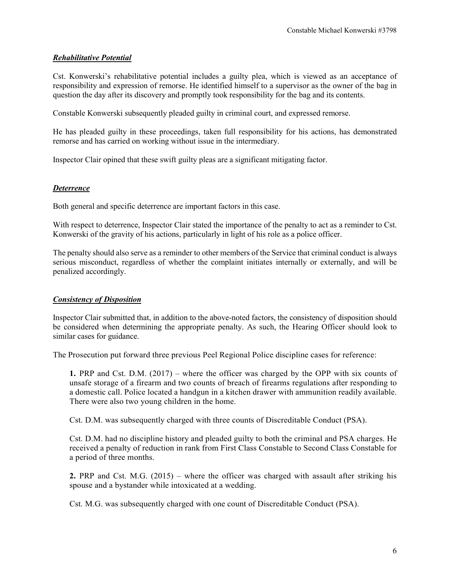## *Rehabilitative Potential*

Cst. Konwerski's rehabilitative potential includes a guilty plea, which is viewed as an acceptance of responsibility and expression of remorse. He identified himself to a supervisor as the owner of the bag in question the day after its discovery and promptly took responsibility for the bag and its contents.

Constable Konwerski subsequently pleaded guilty in criminal court, and expressed remorse.

He has pleaded guilty in these proceedings, taken full responsibility for his actions, has demonstrated remorse and has carried on working without issue in the intermediary.

Inspector Clair opined that these swift guilty pleas are a significant mitigating factor.

## *Deterrence*

Both general and specific deterrence are important factors in this case.

With respect to deterrence, Inspector Clair stated the importance of the penalty to act as a reminder to Cst. Konwerski of the gravity of his actions, particularly in light of his role as a police officer.

The penalty should also serve as a reminder to other members of the Service that criminal conduct is always serious misconduct, regardless of whether the complaint initiates internally or externally, and will be penalized accordingly.

## *Consistency of Disposition*

Inspector Clair submitted that, in addition to the above-noted factors, the consistency of disposition should be considered when determining the appropriate penalty. As such, the Hearing Officer should look to similar cases for guidance.

The Prosecution put forward three previous Peel Regional Police discipline cases for reference:

**1.** PRP and Cst. D.M. (2017) – where the officer was charged by the OPP with six counts of unsafe storage of a firearm and two counts of breach of firearms regulations after responding to a domestic call. Police located a handgun in a kitchen drawer with ammunition readily available. There were also two young children in the home.

Cst. D.M. was subsequently charged with three counts of Discreditable Conduct (PSA).

Cst. D.M. had no discipline history and pleaded guilty to both the criminal and PSA charges. He received a penalty of reduction in rank from First Class Constable to Second Class Constable for a period of three months.

**2.** PRP and Cst. M.G. (2015) – where the officer was charged with assault after striking his spouse and a bystander while intoxicated at a wedding.

Cst. M.G. was subsequently charged with one count of Discreditable Conduct (PSA).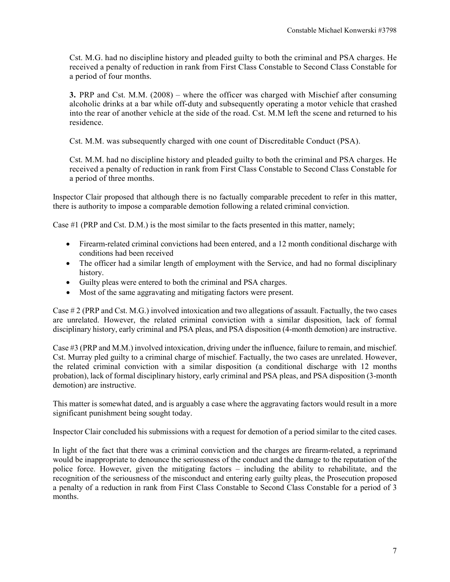Cst. M.G. had no discipline history and pleaded guilty to both the criminal and PSA charges. He received a penalty of reduction in rank from First Class Constable to Second Class Constable for a period of four months.

**3.** PRP and Cst. M.M. (2008) – where the officer was charged with Mischief after consuming alcoholic drinks at a bar while off-duty and subsequently operating a motor vehicle that crashed into the rear of another vehicle at the side of the road. Cst. M.M left the scene and returned to his residence.

Cst. M.M. was subsequently charged with one count of Discreditable Conduct (PSA).

Cst. M.M. had no discipline history and pleaded guilty to both the criminal and PSA charges. He received a penalty of reduction in rank from First Class Constable to Second Class Constable for a period of three months.

Inspector Clair proposed that although there is no factually comparable precedent to refer in this matter, there is authority to impose a comparable demotion following a related criminal conviction.

Case #1 (PRP and Cst. D.M.) is the most similar to the facts presented in this matter, namely;

- Firearm-related criminal convictions had been entered, and a 12 month conditional discharge with conditions had been received
- The officer had a similar length of employment with the Service, and had no formal disciplinary history.
- Guilty pleas were entered to both the criminal and PSA charges.
- Most of the same aggravating and mitigating factors were present.

Case # 2 (PRP and Cst. M.G.) involved intoxication and two allegations of assault. Factually, the two cases are unrelated. However, the related criminal conviction with a similar disposition, lack of formal disciplinary history, early criminal and PSA pleas, and PSA disposition (4-month demotion) are instructive.

Case #3 (PRP and M.M.) involved intoxication, driving under the influence, failure to remain, and mischief. Cst. Murray pled guilty to a criminal charge of mischief. Factually, the two cases are unrelated. However, the related criminal conviction with a similar disposition (a conditional discharge with 12 months probation), lack of formal disciplinary history, early criminal and PSA pleas, and PSA disposition (3-month demotion) are instructive.

This matter is somewhat dated, and is arguably a case where the aggravating factors would result in a more significant punishment being sought today.

Inspector Clair concluded his submissions with a request for demotion of a period similar to the cited cases.

In light of the fact that there was a criminal conviction and the charges are firearm-related, a reprimand would be inappropriate to denounce the seriousness of the conduct and the damage to the reputation of the police force. However, given the mitigating factors – including the ability to rehabilitate, and the recognition of the seriousness of the misconduct and entering early guilty pleas, the Prosecution proposed a penalty of a reduction in rank from First Class Constable to Second Class Constable for a period of 3 months.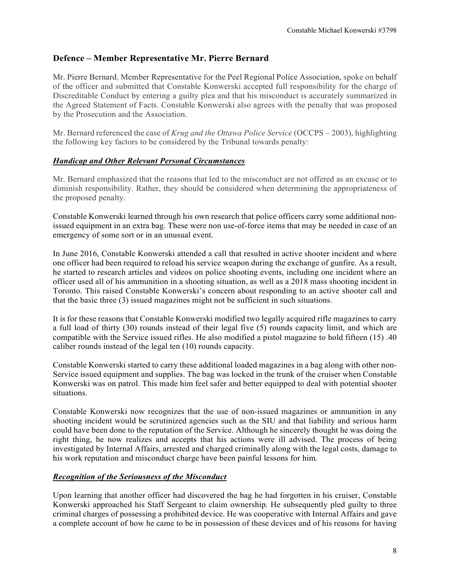## **Defence – Member Representative Mr. Pierre Bernard**

Mr. Pierre Bernard, Member Representative for the Peel Regional Police Association, spoke on behalf of the officer and submitted that Constable Konwerski accepted full responsibility for the charge of Discreditable Conduct by entering a guilty plea and that his misconduct is accurately summarized in the Agreed Statement of Facts. Constable Konwerski also agrees with the penalty that was proposed by the Prosecution and the Association.

Mr. Bernard referenced the case of *Krug and the Ottawa Police Service* (OCCPS – 2003), highlighting the following key factors to be considered by the Tribunal towards penalty:

## *Handicap and Other Relevant Personal Circumstances*

Mr. Bernard emphasized that the reasons that led to the misconduct are not offered as an excuse or to diminish responsibility. Rather, they should be considered when determining the appropriateness of the proposed penalty.

Constable Konwerski learned through his own research that police officers carry some additional nonissued equipment in an extra bag. These were non use-of-force items that may be needed in case of an emergency of some sort or in an unusual event.

In June 2016, Constable Konwerski attended a call that resulted in active shooter incident and where one officer had been required to reload his service weapon during the exchange of gunfire. As a result, he started to research articles and videos on police shooting events, including one incident where an officer used all of his ammunition in a shooting situation, as well as a 2018 mass shooting incident in Toronto. This raised Constable Konwerski's concern about responding to an active shooter call and that the basic three (3) issued magazines might not be sufficient in such situations.

It is for these reasons that Constable Konwerski modified two legally acquired rifle magazines to carry a full load of thirty (30) rounds instead of their legal five (5) rounds capacity limit, and which are compatible with the Service issued rifles. He also modified a pistol magazine to hold fifteen (15) .40 caliber rounds instead of the legal ten (10) rounds capacity.

Constable Konwerski started to carry these additional loaded magazines in a bag along with other non-Service issued equipment and supplies. The bag was locked in the trunk of the cruiser when Constable Konwerski was on patrol. This made him feel safer and better equipped to deal with potential shooter situations.

Constable Konwerski now recognizes that the use of non-issued magazines or ammunition in any shooting incident would be scrutinized agencies such as the SIU and that liability and serious harm could have been done to the reputation of the Service. Although he sincerely thought he was doing the right thing, he now realizes and accepts that his actions were ill advised. The process of being investigated by Internal Affairs, arrested and charged criminally along with the legal costs, damage to his work reputation and misconduct charge have been painful lessons for him.

## *Recognition of the Seriousness of the Misconduct*

Upon learning that another officer had discovered the bag he had forgotten in his cruiser, Constable Konwerski approached his Staff Sergeant to claim ownership. He subsequently pled guilty to three criminal charges of possessing a prohibited device. He was cooperative with Internal Affairs and gave a complete account of how he came to be in possession of these devices and of his reasons for having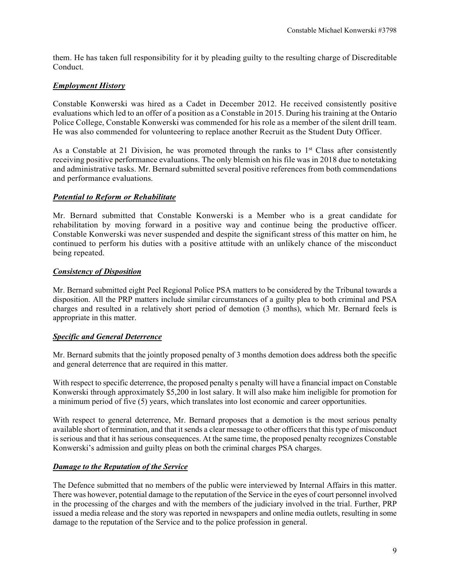them. He has taken full responsibility for it by pleading guilty to the resulting charge of Discreditable Conduct.

## *Employment History*

Constable Konwerski was hired as a Cadet in December 2012. He received consistently positive evaluations which led to an offer of a position as a Constable in 2015. During his training at the Ontario Police College, Constable Konwerski was commended for his role as a member of the silent drill team. He was also commended for volunteering to replace another Recruit as the Student Duty Officer.

As a Constable at 21 Division, he was promoted through the ranks to  $1<sup>st</sup>$  Class after consistently receiving positive performance evaluations. The only blemish on his file was in 2018 due to notetaking and administrative tasks. Mr. Bernard submitted several positive references from both commendations and performance evaluations.

## *Potential to Reform or Rehabilitate*

Mr. Bernard submitted that Constable Konwerski is a Member who is a great candidate for rehabilitation by moving forward in a positive way and continue being the productive officer. Constable Konwerski was never suspended and despite the significant stress of this matter on him, he continued to perform his duties with a positive attitude with an unlikely chance of the misconduct being repeated.

#### *Consistency of Disposition*

Mr. Bernard submitted eight Peel Regional Police PSA matters to be considered by the Tribunal towards a disposition. All the PRP matters include similar circumstances of a guilty plea to both criminal and PSA charges and resulted in a relatively short period of demotion (3 months), which Mr. Bernard feels is appropriate in this matter.

#### *Specific and General Deterrence*

Mr. Bernard submits that the jointly proposed penalty of 3 months demotion does address both the specific and general deterrence that are required in this matter.

With respect to specific deterrence, the proposed penalty s penalty will have a financial impact on Constable Konwerski through approximately \$5,200 in lost salary. It will also make him ineligible for promotion for a minimum period of five (5) years, which translates into lost economic and career opportunities.

With respect to general deterrence, Mr. Bernard proposes that a demotion is the most serious penalty available short of termination, and that it sends a clear message to other officers that this type of misconduct is serious and that it has serious consequences. At the same time, the proposed penalty recognizes Constable Konwerski's admission and guilty pleas on both the criminal charges PSA charges.

#### *Damage to the Reputation of the Service*

The Defence submitted that no members of the public were interviewed by Internal Affairs in this matter. There was however, potential damage to the reputation of the Service in the eyes of court personnel involved in the processing of the charges and with the members of the judiciary involved in the trial. Further, PRP issued a media release and the story was reported in newspapers and online media outlets, resulting in some damage to the reputation of the Service and to the police profession in general.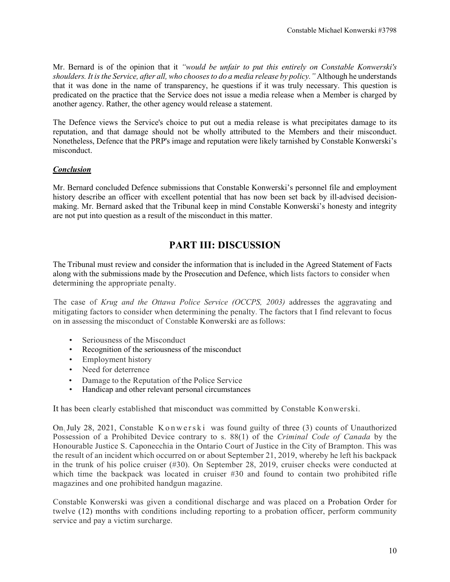Mr. Bernard is of the opinion that it *"would be unfair to put this entirely on Constable Konwerski's shoulders. It is the Service, after all, who chooses to do a media release by policy."* Although he understands that it was done in the name of transparency, he questions if it was truly necessary. This question is predicated on the practice that the Service does not issue a media release when a Member is charged by another agency. Rather, the other agency would release a statement.

The Defence views the Service's choice to put out a media release is what precipitates damage to its reputation, and that damage should not be wholly attributed to the Members and their misconduct. Nonetheless, Defence that the PRP's image and reputation were likely tarnished by Constable Konwerski's misconduct.

## *Conclusion*

Mr. Bernard concluded Defence submissions that Constable Konwerski's personnel file and employment history describe an officer with excellent potential that has now been set back by ill-advised decisionmaking. Mr. Bernard asked that the Tribunal keep in mind Constable Konwerski's honesty and integrity are not put into question as a result of the misconduct in this matter.

# **PART III: DISCUSSION**

The Tribunal must review and consider the information that is included in the Agreed Statement of Facts along with the submissions made by the Prosecution and Defence, which lists factors to consider when determining the appropriate penalty.

The case of *Krug and the Ottawa Police Service (OCCPS, 2003)* addresses the aggravating and mitigating factors to consider when determining the penalty. The factors that I find relevant to focus on in assessing the misconduct of Constable Konwerski are asfollows:

- Seriousness of the Misconduct
- Recognition of the seriousness of the misconduct
- Employment history
- Need for deterrence
- Damage to the Reputation of the Police Service
- Handicap and other relevant personal circumstances

It has been clearly established that misconduct was committed by Constable Konwerski.

On July 28, 2021, Constable Konwerski was found guilty of three (3) counts of Unauthorized Possession of a Prohibited Device contrary to s. 88(1) of the *Criminal Code of Canada* by the Honourable Justice S. Caponecchia in the Ontario Court of Justice in the City of Brampton. This was the result of an incident which occurred on or about September 21, 2019, whereby he left his backpack in the trunk of his police cruiser (#30). On September 28, 2019, cruiser checks were conducted at which time the backpack was located in cruiser #30 and found to contain two prohibited rifle magazines and one prohibited handgun magazine.

Constable Konwerski was given a conditional discharge and was placed on a Probation Order for twelve (12) months with conditions including reporting to a probation officer, perform community service and pay a victim surcharge.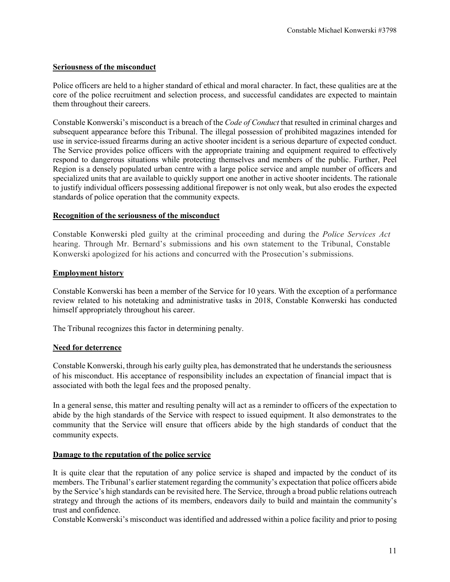#### **Seriousness of the misconduct**

Police officers are held to a higher standard of ethical and moral character. In fact, these qualities are at the core of the police recruitment and selection process, and successful candidates are expected to maintain them throughout their careers.

Constable Konwerski's misconduct is a breach of the *Code of Conduct* that resulted in criminal charges and subsequent appearance before this Tribunal. The illegal possession of prohibited magazines intended for use in service-issued firearms during an active shooter incident is a serious departure of expected conduct. The Service provides police officers with the appropriate training and equipment required to effectively respond to dangerous situations while protecting themselves and members of the public. Further, Peel Region is a densely populated urban centre with a large police service and ample number of officers and specialized units that are available to quickly support one another in active shooter incidents. The rationale to justify individual officers possessing additional firepower is not only weak, but also erodes the expected standards of police operation that the community expects.

#### **Recognition of the seriousness of the misconduct**

Constable Konwerski pled guilty at the criminal proceeding and during the *Police Services Act*  hearing. Through Mr. Bernard's submissions and his own statement to the Tribunal, Constable Konwerski apologized for his actions and concurred with the Prosecution's submissions.

#### **Employment history**

Constable Konwerski has been a member of the Service for 10 years. With the exception of a performance review related to his notetaking and administrative tasks in 2018, Constable Konwerski has conducted himself appropriately throughout his career.

The Tribunal recognizes this factor in determining penalty.

#### **Need for deterrence**

Constable Konwerski, through his early guilty plea, has demonstrated that he understands the seriousness of his misconduct. His acceptance of responsibility includes an expectation of financial impact that is associated with both the legal fees and the proposed penalty.

In a general sense, this matter and resulting penalty will act as a reminder to officers of the expectation to abide by the high standards of the Service with respect to issued equipment. It also demonstrates to the community that the Service will ensure that officers abide by the high standards of conduct that the community expects.

#### **Damage to the reputation of the police service**

It is quite clear that the reputation of any police service is shaped and impacted by the conduct of its members. The Tribunal's earlier statement regarding the community's expectation that police officers abide by the Service's high standards can be revisited here. The Service, through a broad public relations outreach strategy and through the actions of its members, endeavors daily to build and maintain the community's trust and confidence.

Constable Konwerski's misconduct was identified and addressed within a police facility and prior to posing